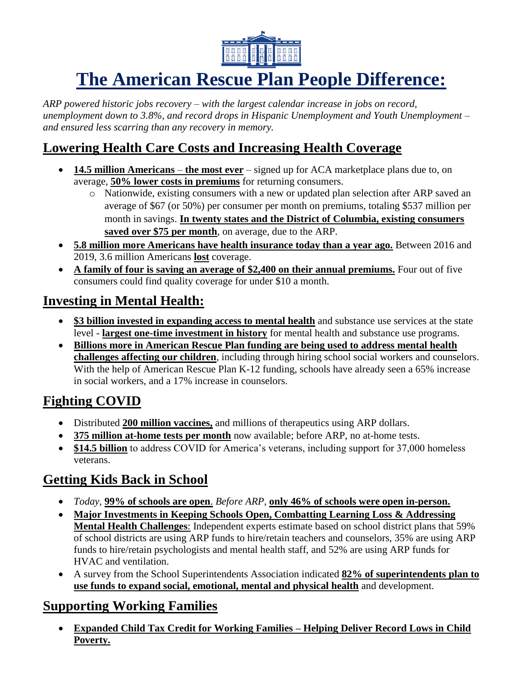

# **The American Rescue Plan People Difference:**

*ARP powered historic jobs recovery – with the largest calendar increase in jobs on record, unemployment down to 3.8%, and record drops in Hispanic Unemployment and Youth Unemployment – and ensured less scarring than any recovery in memory.* 

#### **Lowering Health Care Costs and Increasing Health Coverage**

- **14.5 million Americans the most ever** signed up for ACA marketplace plans due to, on average, **50% lower costs in premiums** for returning consumers.
	- o Nationwide, existing consumers with a new or updated plan selection after ARP saved an average of \$67 (or 50%) per consumer per month on premiums, totaling \$537 million per month in savings. **In twenty states and the District of Columbia, existing consumers saved over \$75 per month**, on average, due to the ARP.
- **5.8 million more Americans have health insurance today than a year ago.** Between 2016 and 2019, 3.6 million Americans **lost** coverage.
- **A family of four is saving an average of \$2,400 on their annual premiums.** Four out of five consumers could find quality coverage for under \$10 a month.

### **Investing in Mental Health:**

- **\$3 billion invested in expanding access to mental health** and substance use services at the state level - **largest one-time investment in history** for mental health and substance use programs.
- **Billions more in American Rescue Plan funding are being used to address mental health challenges affecting our children**, including through hiring school social workers and counselors. With the help of American Rescue Plan K-12 funding, schools have already seen a 65% increase in social workers, and a 17% increase in counselors.

### **Fighting COVID**

- Distributed **200 million vaccines,** and millions of therapeutics using ARP dollars.
- **375 million at-home tests per month** now available; before ARP, no at-home tests.
- **\$14.5 billion** to address COVID for America's veterans, including support for 37,000 homeless veterans.

# **Getting Kids Back in School**

- *Today,* **99% of schools are open**. *Before ARP*, **only 46% of schools were open in-person.**
- **Major Investments in Keeping Schools Open, Combatting Learning Loss & Addressing Mental Health Challenges**: Independent experts estimate based on school district plans that 59% of school districts are using ARP funds to hire/retain teachers and counselors, 35% are using ARP funds to hire/retain psychologists and mental health staff, and 52% are using ARP funds for HVAC and ventilation.
- A survey from the School Superintendents Association indicated **82% of superintendents plan to use funds to expand social, emotional, mental and physical health** and development.

### **Supporting Working Families**

• **Expanded Child Tax Credit for Working Families – Helping Deliver Record Lows in Child Poverty.**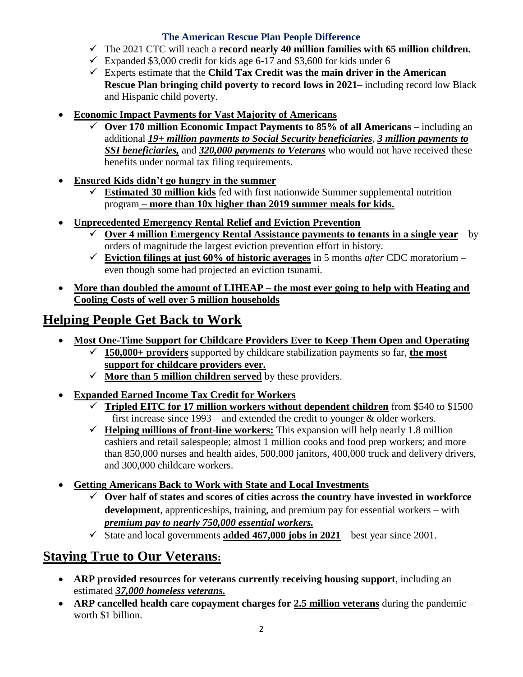#### **The American Rescue Plan People Difference**

- $\checkmark$  The 2021 CTC will reach a **record nearly 40 million families with 65 million children.**
- $\checkmark$  Expanded \$3,000 credit for kids age 6-17 and \$3,600 for kids under 6
- ✓ Experts estimate that the **Child Tax Credit was the main driver in the American Rescue Plan bringing child poverty to record lows in 2021**– including record low Black and Hispanic child poverty.
- **Economic Impact Payments for Vast Majority of Americans**
	- Over 170 million Economic Impact Payments to 85% of all Americans including an additional *19+ million payments to Social Security beneficiaries*, *3 million payments to SSI beneficiaries,* and *320,000 payments to Veterans* who would not have received these benefits under normal tax filing requirements.
- **Ensured Kids didn't go hungry in the summer**
	- ✓ **Estimated 30 million kids** fed with first nationwide Summer supplemental nutrition program **– more than 10x higher than 2019 summer meals for kids.**
- **Unprecedented Emergency Rental Relief and Eviction Prevention**
	- $\checkmark$  Over 4 million Emergency Rental Assistance payments to tenants in a single year by orders of magnitude the largest eviction prevention effort in history.
	- $\checkmark$  **Eviction filings at just 60% of historic averages** in 5 months *after* CDC moratorium even though some had projected an eviction tsunami.
- **More than doubled the amount of LIHEAP – the most ever going to help with Heating and Cooling Costs of well over 5 million households**

### **Helping People Get Back to Work**

- **Most One-Time Support for Childcare Providers Ever to Keep Them Open and Operating**
	- ✓ **150,000+ providers** supported by childcare stabilization payments so far, **the most support for childcare providers ever.**
	- $\checkmark$  More than 5 million children served by these providers.
- **Expanded Earned Income Tax Credit for Workers** 
	- ✓ **Tripled EITC for 17 million workers without dependent children** from \$540 to \$1500 – first increase since 1993 – and extended the credit to younger & older workers.
	- $\checkmark$  **Helping millions of front-line workers:** This expansion will help nearly 1.8 million cashiers and retail salespeople; almost 1 million cooks and food prep workers; and more than 850,000 nurses and health aides, 500,000 janitors, 400,000 truck and delivery drivers, and 300,000 childcare workers.
- **Getting Americans Back to Work with State and Local Investments**
	- Over half of states and scores of cities across the country have invested in workforce **development**, apprenticeships, training, and premium pay for essential workers – with *premium pay to nearly 750,000 essential workers.*
	- $\checkmark$  State and local governments **added 467,000 jobs in 2021** best year since 2001.

### **Staying True to Our Veterans:**

- **ARP provided resources for veterans currently receiving housing support**, including an estimated *37,000 homeless veterans.*
- **ARP cancelled health care copayment charges for 2.5 million veterans** during the pandemic worth \$1 billion.